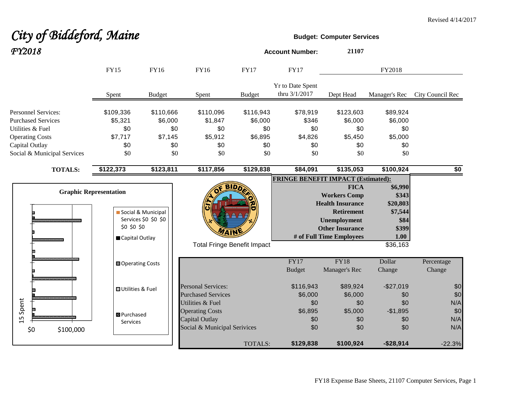# **City of Biddeford, Maine Budget:** Computer Services *FY2018* **Account Number: <sup>21107</sup>**

|                                                                                                                                                        | <b>FY15</b>                                                    | <b>FY16</b>                                          | <b>FY16</b>                                                                                         | <b>FY17</b>                                          | <b>FY17</b>                                       |                                                                                                                                                                 | FY2018                                                                       |                          |
|--------------------------------------------------------------------------------------------------------------------------------------------------------|----------------------------------------------------------------|------------------------------------------------------|-----------------------------------------------------------------------------------------------------|------------------------------------------------------|---------------------------------------------------|-----------------------------------------------------------------------------------------------------------------------------------------------------------------|------------------------------------------------------------------------------|--------------------------|
|                                                                                                                                                        | Spent                                                          | <b>Budget</b>                                        | Spent                                                                                               | <b>Budget</b>                                        | Yr to Date Spent<br>thru 3/1/2017                 | Dept Head                                                                                                                                                       | Manager's Rec                                                                | City Council Rec         |
| <b>Personnel Services:</b><br><b>Purchased Services</b><br>Utilities & Fuel<br><b>Operating Costs</b><br>Capital Outlay<br>Social & Municipal Services | \$109,336<br>\$5,321<br>\$0<br>\$7,717<br>\$0<br>\$0           | \$110,666<br>\$6,000<br>\$0<br>\$7,145<br>\$0<br>\$0 | \$110,096<br>\$1,847<br>\$0<br>\$5,912<br>\$0<br>\$0                                                | \$116,943<br>\$6,000<br>\$0<br>\$6,895<br>\$0<br>\$0 | \$78,919<br>\$346<br>\$0<br>\$4,826<br>\$0<br>\$0 | \$123,603<br>\$6,000<br>\$0<br>\$5,450<br>\$0<br>\$0                                                                                                            | \$89,924<br>\$6,000<br>\$0<br>\$5,000<br>\$0<br>\$0                          |                          |
| <b>TOTALS:</b>                                                                                                                                         | \$122,373                                                      | \$123,811                                            | \$117,856                                                                                           | \$129,838                                            | \$84,091                                          | \$135,053                                                                                                                                                       | \$100,924                                                                    | \$0                      |
|                                                                                                                                                        | <b>Graphic Representation</b><br>\$0 \$0 \$0<br>Capital Outlay | Social & Municipal<br>Services \$0 \$0 \$0           | <b>Total Fringe Benefit Impact</b>                                                                  | <b>BIDD</b>                                          | <b>FRINGE BENEFIT IMPACT (Estimated):</b>         | <b>FICA</b><br><b>Workers Comp</b><br><b>Health Insurance</b><br><b>Retirement</b><br><b>Unemployment</b><br><b>Other Insurance</b><br># of Full Time Employees | \$6,990<br>\$343<br>\$20,803<br>\$7,544<br>\$84<br>\$399<br>1.00<br>\$36,163 |                          |
|                                                                                                                                                        | <b>□</b> Operating Costs                                       |                                                      |                                                                                                     |                                                      | FY17<br><b>Budget</b>                             | FY18<br>Manager's Rec                                                                                                                                           | Dollar<br>Change                                                             | Percentage<br>Change     |
|                                                                                                                                                        | <b>OUtilities &amp; Fuel</b>                                   |                                                      | <b>Personal Services:</b><br><b>Purchased Services</b>                                              |                                                      | \$116,943<br>\$6,000                              | \$89,924<br>\$6,000                                                                                                                                             | $-$27,019$<br>\$0                                                            | \$0<br>\$0               |
| Spent<br>15<br>\$100,000<br>\$0                                                                                                                        | <b>B</b> Purchased<br>Services                                 |                                                      | Utilities & Fuel<br><b>Operating Costs</b><br><b>Capital Outlay</b><br>Social & Municipal Serivices |                                                      | \$0<br>\$6,895<br>\$0<br>\$0                      | \$0<br>\$5,000<br>\$0<br>\$0                                                                                                                                    | \$0<br>$-$1,895$<br>\$0<br>\$0                                               | N/A<br>\$0<br>N/A<br>N/A |
|                                                                                                                                                        |                                                                |                                                      |                                                                                                     | TOTALS:                                              | \$129,838                                         | \$100,924                                                                                                                                                       | $-$28,914$                                                                   | $-22.3%$                 |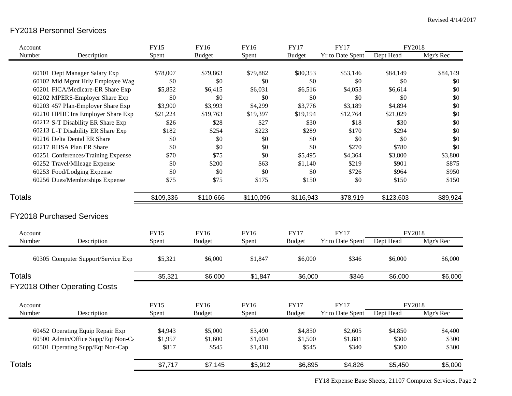## FY2018 Personnel Services

| Account                            |                                     | <b>FY15</b> | <b>FY16</b>   | FY16        | <b>FY17</b>   | <b>FY17</b>      | FY2018    |           |
|------------------------------------|-------------------------------------|-------------|---------------|-------------|---------------|------------------|-----------|-----------|
| Number                             | Description                         | Spent       | <b>Budget</b> | Spent       | <b>Budget</b> | Yr to Date Spent | Dept Head | Mgr's Rec |
|                                    |                                     |             |               |             |               |                  |           |           |
|                                    | 60101 Dept Manager Salary Exp       | \$78,007    | \$79,863      | \$79,882    | \$80,353      | \$53,146         | \$84,149  | \$84,149  |
|                                    | 60102 Mid Mgmt Hrly Employee Wag    | $\$0$       | \$0           | \$0         | \$0           | \$0              | \$0       | \$0       |
|                                    | 60201 FICA/Medicare-ER Share Exp    | \$5,852     | \$6,415       | \$6,031     | \$6,516       | \$4,053          | \$6,614   | \$0       |
|                                    | 60202 MPERS-Employer Share Exp      | \$0         | \$0           | \$0         | \$0           | \$0              | \$0       | \$0       |
|                                    | 60203 457 Plan-Employer Share Exp   | \$3,900     | \$3,993       | \$4,299     | \$3,776       | \$3,189          | \$4,894   | \$0       |
|                                    | 60210 HPHC Ins Employer Share Exp   | \$21,224    | \$19,763      | \$19,397    | \$19,194      | \$12,764         | \$21,029  | \$0       |
|                                    | 60212 S-T Disability ER Share Exp   | \$26        | \$28          | \$27        | \$30          | \$18             | \$30      | \$0       |
|                                    | 60213 L-T Disability ER Share Exp   | \$182       | \$254         | \$223       | \$289         | \$170            | \$294     | \$0       |
|                                    | 60216 Delta Dental ER Share         | \$0         | \$0           | \$0         | \$0           | \$0              | \$0       | \$0       |
|                                    | 60217 RHSA Plan ER Share            | \$0         | \$0           | \$0         | \$0           | \$270            | \$780     | \$0       |
|                                    | 60251 Conferences/Training Expense  | \$70        | \$75          | \$0         | \$5,495       | \$4,364          | \$3,800   | \$3,800   |
|                                    | 60252 Travel/Mileage Expense        | \$0         | \$200         | \$63        | \$1,140       | \$219            | \$901     | \$875     |
|                                    | 60253 Food/Lodging Expense          | \$0         | \$0           | \$0         | \$0           | \$726            | \$964     | \$950     |
|                                    | 60256 Dues/Memberships Expense      | \$75        | \$75          | \$175       | \$150         | \$0              | \$150     | \$150     |
| <b>Totals</b>                      |                                     | \$109,336   | \$110,666     | \$110,096   | \$116,943     | \$78,919         | \$123,603 | \$89,924  |
|                                    | <b>FY2018 Purchased Services</b>    |             |               |             |               |                  |           |           |
| Account                            |                                     | <b>FY15</b> | <b>FY16</b>   | <b>FY16</b> | <b>FY17</b>   | <b>FY17</b>      | FY2018    |           |
| Number                             | Description                         | Spent       | <b>Budget</b> | Spent       | <b>Budget</b> | Yr to Date Spent | Dept Head | Mgr's Rec |
|                                    | 60305 Computer Support/Service Exp  | \$5,321     | \$6,000       | \$1,847     | \$6,000       | \$346            | \$6,000   | \$6,000   |
| <b>Totals</b>                      |                                     | \$5,321     | \$6,000       | \$1,847     | \$6,000       | \$346            | \$6,000   | \$6,000   |
|                                    | <b>FY2018 Other Operating Costs</b> |             |               |             |               |                  |           |           |
| Account                            |                                     | <b>FY15</b> | <b>FY16</b>   | FY16        | <b>FY17</b>   | <b>FY17</b>      | FY2018    |           |
| Number                             | Description                         | Spent       | <b>Budget</b> | Spent       | <b>Budget</b> | Yr to Date Spent | Dept Head | Mgr's Rec |
|                                    |                                     |             |               |             |               |                  |           |           |
|                                    | 60452 Operating Equip Repair Exp    | \$4,943     | \$5,000       | \$3,490     | \$4,850       | \$2,605          | \$4,850   | \$4,400   |
| 60500 Admin/Office Supp/Eqt Non-Ca |                                     | \$1,957     | \$1,600       | \$1,004     | \$1,500       | \$1,881          | \$300     | \$300     |
|                                    | 60501 Operating Supp/Eqt Non-Cap    | \$817       | \$545         | \$1,418     | \$545         | \$340            | \$300     | \$300     |
| <b>Totals</b>                      |                                     | \$7,717     | \$7,145       | \$5,912     | \$6,895       | \$4,826          | \$5,450   | \$5,000   |

FY18 Expense Base Sheets, 21107 Computer Services, Page 2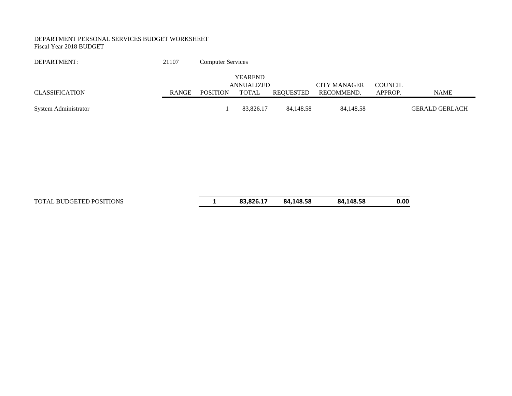#### DEPARTMENT PERSONAL SERVICES BUDGET WORKSHEET Fiscal Year 2018 BUDGET

| DEPARTMENT:           | 21107 | <b>Computer Services</b> |                |           |                     |                |                       |
|-----------------------|-------|--------------------------|----------------|-----------|---------------------|----------------|-----------------------|
|                       |       |                          | <b>YEAREND</b> |           |                     |                |                       |
|                       |       |                          | ANNUALIZED     |           | <b>CITY MANAGER</b> | <b>COUNCIL</b> |                       |
| <b>CLASSIFICATION</b> | RANGE | <b>POSITION</b>          | <b>TOTAL</b>   | REOUESTED | RECOMMEND.          | APPROP.        | NAME                  |
|                       |       |                          |                |           |                     |                |                       |
| System Administrator  |       |                          | 83.826.17      | 84.148.58 | 84,148.58           |                | <b>GERALD GERLACH</b> |

TOTAL BUDGETED POSITIONS **1 83,826.17 84,148.58 84,148.58 0.00**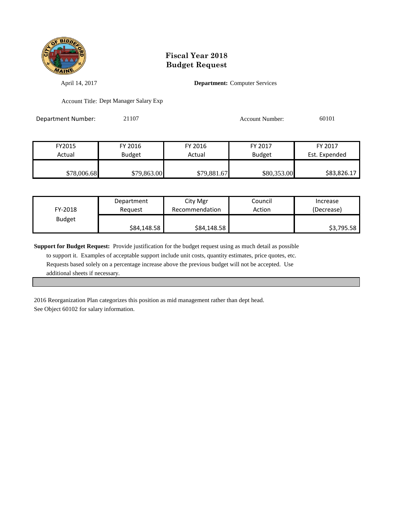

April 14, 2017 **Department:** Computer Services

Account Title: Dept Manager Salary Exp

Department Number: 21107 20101 20101 Account Number: 60101

| FY2015      | FY 2016       | FY 2016     | FY 2017       | FY 2017       |
|-------------|---------------|-------------|---------------|---------------|
| Actual      | <b>Budget</b> | Actual      | <b>Budget</b> | Est. Expended |
|             |               |             |               |               |
| \$78,006.68 | \$79,863.00   | \$79,881.67 | \$80,353.00   | \$83,826.17   |

| FY-2018       | Department  | City Mgr       | Council | Increase   |
|---------------|-------------|----------------|---------|------------|
|               | Reauest     | Recommendation | Action  | (Decrease) |
| <b>Budget</b> | \$84,148.58 | \$84,148.58    |         | \$3,795.58 |

**Support for Budget Request:** Provide justification for the budget request using as much detail as possible to support it. Examples of acceptable support include unit costs, quantity estimates, price quotes, etc. Requests based solely on a percentage increase above the previous budget will not be accepted. Use additional sheets if necessary.

2016 Reorganization Plan categorizes this position as mid management rather than dept head. See Object 60102 for salary information.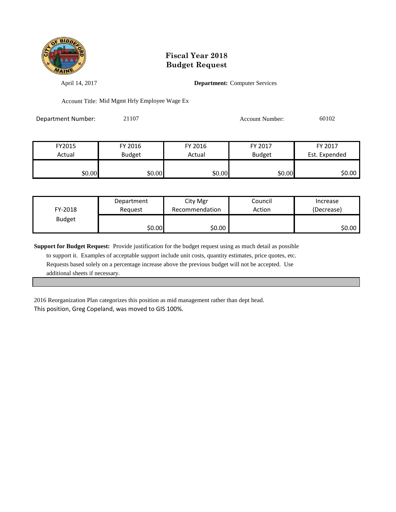

April 14, 2017 **Department:** Computer Services

Account Title: Mid Mgmt Hrly Employee Wage Ex

Department Number: 21107 20102 Account Number: 60102

| FY2015 | FY 2016       | FY 2016 | FY 2017       | FY 2017       |
|--------|---------------|---------|---------------|---------------|
| Actual | <b>Budget</b> | Actual  | <b>Budget</b> | Est. Expended |
|        |               |         |               |               |
| \$0.00 | \$0.00        | \$0.00  | \$0.00        | \$0.00        |

| FY-2018       | Department | City Mgr       | Council | Increase   |
|---------------|------------|----------------|---------|------------|
|               | Reauest    | Recommendation | Action  | (Decrease) |
| <b>Budget</b> | \$0.00     | \$0.00         |         | ا 50.00    |

**Support for Budget Request:** Provide justification for the budget request using as much detail as possible to support it. Examples of acceptable support include unit costs, quantity estimates, price quotes, etc. Requests based solely on a percentage increase above the previous budget will not be accepted. Use additional sheets if necessary.

2016 Reorganization Plan categorizes this position as mid management rather than dept head. This position, Greg Copeland, was moved to GIS 100%.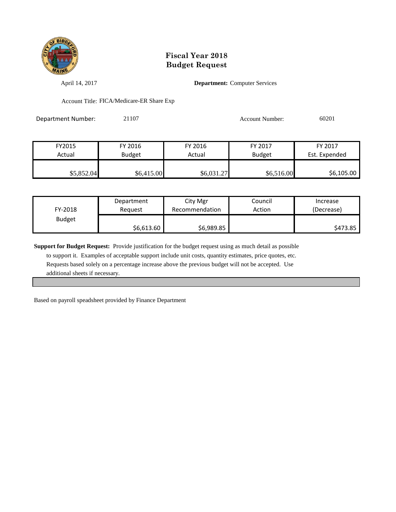

April 14, 2017 **Department:** Computer Services

Account Title: FICA/Medicare-ER Share Exp

Department Number: 21107 Account Number: 60201

| FY2015     | FY 2016       | FY 2016    | FY 2017       | FY 2017       |
|------------|---------------|------------|---------------|---------------|
| Actual     | <b>Budget</b> | Actual     | <b>Budget</b> | Est. Expended |
|            |               |            |               |               |
| \$5,852.04 | \$6,415.00    | \$6,031.27 | \$6,516.00    | \$6,105.00    |

| FY-2018       | Department | City Mgr       | Council | Increase   |
|---------------|------------|----------------|---------|------------|
|               | Reauest    | Recommendation | Action  | (Decrease) |
| <b>Budget</b> | \$6,613.60 | \$6,989.85     |         | \$473.85   |

**Support for Budget Request:** Provide justification for the budget request using as much detail as possible

 to support it. Examples of acceptable support include unit costs, quantity estimates, price quotes, etc. Requests based solely on a percentage increase above the previous budget will not be accepted. Use additional sheets if necessary.

Based on payroll speadsheet provided by Finance Department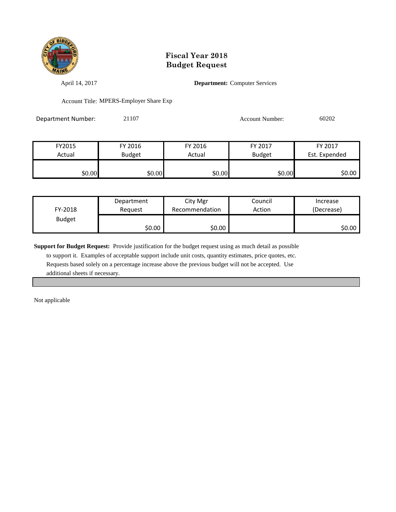

April 14, 2017 **Department:** Computer Services

Account Title: MPERS-Employer Share Exp

| Department Number: | 21107 | <b>Account Number:</b> | 60202 |
|--------------------|-------|------------------------|-------|
|                    |       |                        |       |

| FY2015 | FY 2016       | FY 2016 | FY 2017       | FY 2017       |
|--------|---------------|---------|---------------|---------------|
| Actual | <b>Budget</b> | Actual  | <b>Budget</b> | Est. Expended |
|        |               |         |               |               |
| \$0.00 | \$0.00        | \$0.00  | \$0.00        | \$0.00        |

| FY-2018       | Department | City Mgr       | Council | Increase   |
|---------------|------------|----------------|---------|------------|
|               | Reauest    | Recommendation | Action  | (Decrease) |
| <b>Budget</b> | ا 50.00    | \$0.00         |         | ا 50.00    |

**Support for Budget Request:** Provide justification for the budget request using as much detail as possible

 to support it. Examples of acceptable support include unit costs, quantity estimates, price quotes, etc. Requests based solely on a percentage increase above the previous budget will not be accepted. Use additional sheets if necessary.

Not applicable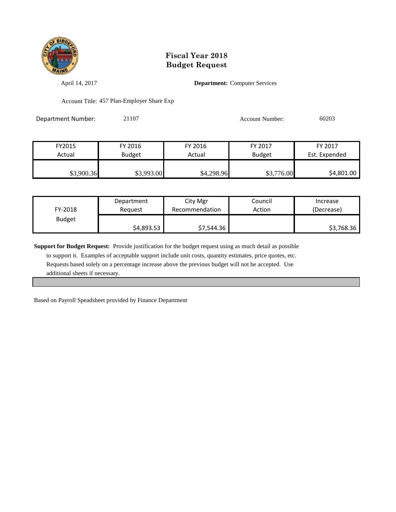

April 14, 2017 **Department:** Computer Services

Account Title: 457 Plan-Employer Share Exp

| Department Number: | 21107 | <b>Account Number:</b> | 60203 |
|--------------------|-------|------------------------|-------|
|                    |       |                        |       |

| FY2015     | FY 2016    | FY 2016    | FY 2017       | FY 2017       |
|------------|------------|------------|---------------|---------------|
| Actual     | Budget     | Actual     | <b>Budget</b> | Est. Expended |
|            |            |            |               |               |
| \$3,900.36 | \$3,993.00 | \$4,298.96 | \$3,776.00    | \$4,801.00    |

| FY-2018       | Department | City Mgr       | Council | Increase   |
|---------------|------------|----------------|---------|------------|
|               | Reauest    | Recommendation | Action  | (Decrease) |
| <b>Budget</b> | \$4,893.53 | \$7,544.36     |         | \$3,768.36 |

**Support for Budget Request:** Provide justification for the budget request using as much detail as possible

 to support it. Examples of acceptable support include unit costs, quantity estimates, price quotes, etc. Requests based solely on a percentage increase above the previous budget will not be accepted. Use additional sheets if necessary.

Based on Payroll Speadsheet provided by Finance Department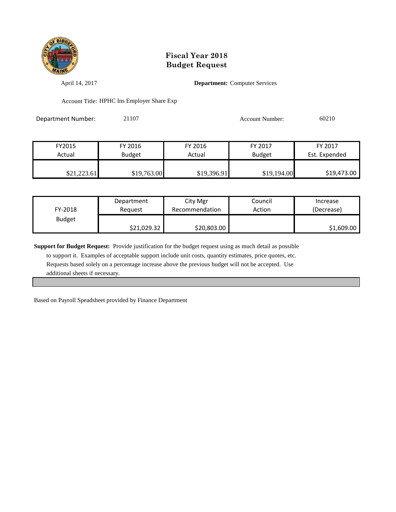

April 14, 2017 **Department:** Computer Services

Account Title: HPHC Ins Employer Share Exp

| Department Number: | 21107 | Account Number: | 60210 |
|--------------------|-------|-----------------|-------|
|                    |       |                 |       |

| FY2015      | FY 2016     | FY 2016     | FY 2017       | FY 2017       |
|-------------|-------------|-------------|---------------|---------------|
| Actual      | Budget      | Actual      | <b>Budget</b> | Est. Expended |
|             |             |             |               |               |
| \$21,223.61 | \$19,763.00 | \$19,396.91 | \$19,194.00   | \$19,473.00   |

| FY-2018       | Department  | City Mgr       | Council | Increase   |
|---------------|-------------|----------------|---------|------------|
|               | Reauest     | Recommendation | Action  | (Decrease) |
| <b>Budget</b> | \$21,029.32 | \$20,803.00    |         | \$1,609.00 |

**Support for Budget Request:** Provide justification for the budget request using as much detail as possible

 to support it. Examples of acceptable support include unit costs, quantity estimates, price quotes, etc. Requests based solely on a percentage increase above the previous budget will not be accepted. Use additional sheets if necessary.

Based on Payroll Speadsheet provided by Finance Department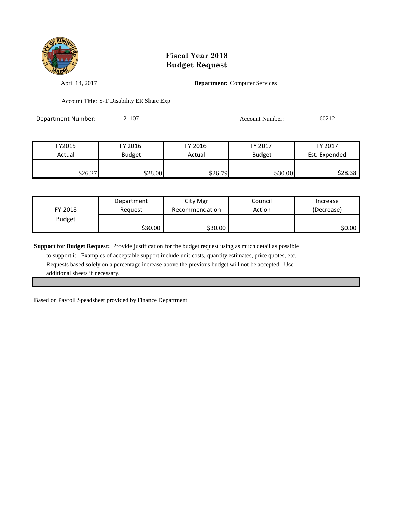

April 14, 2017 **Department:** Computer Services

Account Title: S-T Disability ER Share Exp

Department Number: 21107 Account Number: 60212

| FY2015  | FY 2016       | FY 2016 | FY 2017       | FY 2017       |
|---------|---------------|---------|---------------|---------------|
| Actual  | <b>Budget</b> | Actual  | <b>Budget</b> | Est. Expended |
|         |               |         |               |               |
| \$26.27 | \$28.00       | \$26.79 | \$30.00       | \$28.38       |

| FY-2018       | Department | City Mgr       | Council | Increase   |
|---------------|------------|----------------|---------|------------|
|               | Reauest    | Recommendation | Action  | (Decrease) |
| <b>Budget</b> | \$30.00    | \$30.00        |         | \$0.00     |

**Support for Budget Request:** Provide justification for the budget request using as much detail as possible

 to support it. Examples of acceptable support include unit costs, quantity estimates, price quotes, etc. Requests based solely on a percentage increase above the previous budget will not be accepted. Use additional sheets if necessary.

Based on Payroll Speadsheet provided by Finance Department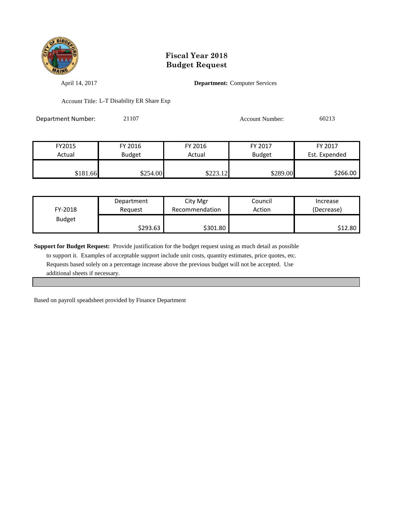

April 14, 2017 **Department:** Computer Services

Account Title: L-T Disability ER Share Exp

Department Number: 21107 Account Number: 60213

| FY2015   | FY 2016       | FY 2016  | FY 2017       | FY 2017       |
|----------|---------------|----------|---------------|---------------|
| Actual   | <b>Budget</b> | Actual   | <b>Budget</b> | Est. Expended |
|          |               |          |               |               |
| \$181.66 | \$254.00      | \$223.12 | \$289.00      | \$266.00      |

| FY-2018       | Department | City Mgr       | Council | Increase   |
|---------------|------------|----------------|---------|------------|
|               | Reauest    | Recommendation | Action  | (Decrease) |
| <b>Budget</b> | \$293.63   | \$301.80       |         | \$12.80    |

**Support for Budget Request:** Provide justification for the budget request using as much detail as possible

 to support it. Examples of acceptable support include unit costs, quantity estimates, price quotes, etc. Requests based solely on a percentage increase above the previous budget will not be accepted. Use additional sheets if necessary.

Based on payroll speadsheet provided by Finance Department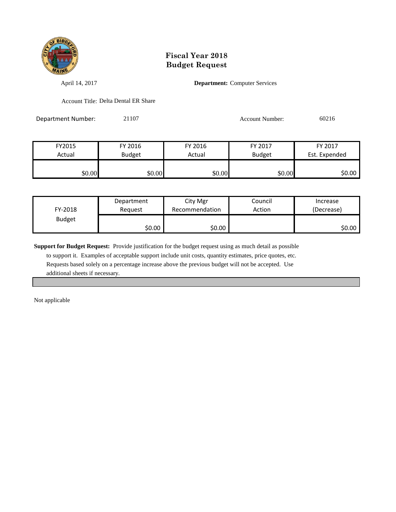

April 14, 2017 **Department:** Computer Services

Account Title: Delta Dental ER Share

Department Number: 21107 Account Number: 60216

| FY2015 | FY 2016       | FY 2016 | FY 2017       | FY 2017       |
|--------|---------------|---------|---------------|---------------|
| Actual | <b>Budget</b> | Actual  | <b>Budget</b> | Est. Expended |
|        |               |         |               |               |
| \$0.00 | \$0.00        | \$0.00  | \$0.00        | \$0.00        |

| FY-2018       | Department |        | Council | Increase   |
|---------------|------------|--------|---------|------------|
|               | Reauest    |        | Action  | (Decrease) |
| <b>Budget</b> | \$0.00     | \$0.00 |         | ا 50.00    |

**Support for Budget Request:** Provide justification for the budget request using as much detail as possible

 to support it. Examples of acceptable support include unit costs, quantity estimates, price quotes, etc. Requests based solely on a percentage increase above the previous budget will not be accepted. Use additional sheets if necessary.

Not applicable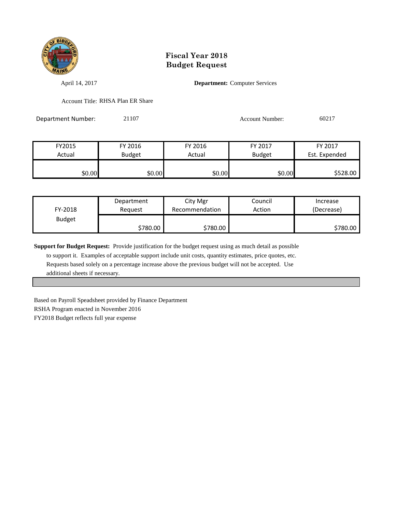

April 14, 2017 **Department:** Computer Services

Account Title: RHSA Plan ER Share

Department Number: 21107 Account Number: 60217

| FY2015 | FY 2016       | FY 2016 | FY 2017       | FY 2017       |
|--------|---------------|---------|---------------|---------------|
| Actual | <b>Budget</b> | Actual  | <b>Budget</b> | Est. Expended |
|        |               |         |               |               |
| \$0.00 | \$0.00        | \$0.00  | \$0.00        | \$528.00      |

| Department<br>FY-2018<br>Reauest |          | City Mgr<br>Recommendation | Council<br>Action | Increase<br>(Decrease) |
|----------------------------------|----------|----------------------------|-------------------|------------------------|
| <b>Budget</b>                    | \$780.00 | \$780.00                   |                   | \$780.00               |

**Support for Budget Request:** Provide justification for the budget request using as much detail as possible

 to support it. Examples of acceptable support include unit costs, quantity estimates, price quotes, etc. Requests based solely on a percentage increase above the previous budget will not be accepted. Use additional sheets if necessary.

Based on Payroll Speadsheet provided by Finance Department RSHA Program enacted in November 2016 FY2018 Budget reflects full year expense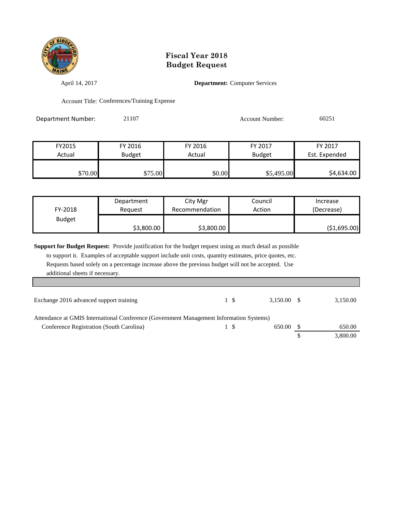

April 14, 2017 **Department:** Computer Services

Account Title: Conferences/Training Expense

| Department Number: | 21107 | Account Number: | 60251 |
|--------------------|-------|-----------------|-------|
|                    |       |                 |       |

| FY2015  | FY 2016       | FY 2016 | FY 2017       | FY 2017       |
|---------|---------------|---------|---------------|---------------|
| Actual  | <b>Budget</b> | Actual  | <b>Budget</b> | Est. Expended |
|         |               |         |               |               |
| \$70.00 | \$75.00       | \$0.00  | \$5,495.00    | \$4,634.00    |

| FY-2018       | Department |            | Council | Increase    |
|---------------|------------|------------|---------|-------------|
|               | Reauest    |            | Action  | (Decrease)  |
| <b>Budget</b> | \$3,800.00 | \$3,800.00 |         | (51,695.00) |

**Support for Budget Request:** Provide justification for the budget request using as much detail as possible to support it. Examples of acceptable support include unit costs, quantity estimates, price quotes, etc. Requests based solely on a percentage increase above the previous budget will not be accepted. Use

additional sheets if necessary.

I

| Exchange 2016 advanced support training                                                 | $3.150.00$ \$ | 3,150.00 |
|-----------------------------------------------------------------------------------------|---------------|----------|
| Attendance at GMIS International Conference (Government Management Information Systems) |               |          |
| Conference Registration (South Carolina)                                                | 650.00        | 650.00   |
|                                                                                         |               | 3,800.00 |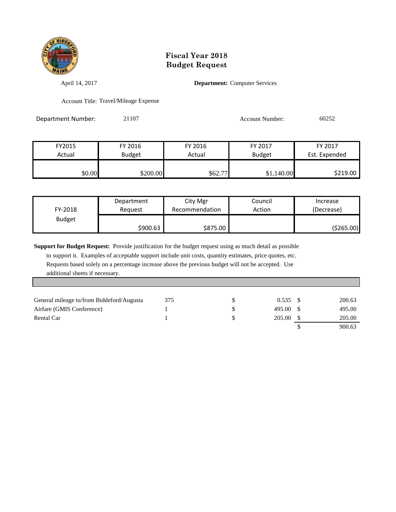

April 14, 2017 **Department:** Computer Services

Account Title: Travel/Mileage Expense

Department Number: 21107 Account Number: 60252

| FY2015 | FY 2016       | FY 2016 | FY 2017       | FY 2017       |
|--------|---------------|---------|---------------|---------------|
| Actual | <b>Budget</b> |         | <b>Budget</b> | Est. Expended |
|        |               |         |               |               |
| \$0.00 | \$200.00      | \$62.77 | \$1,140.00    | \$219.00      |

| FY-2018       | Department |          | Council | Increase   |
|---------------|------------|----------|---------|------------|
|               | Reauest    |          | Action  | (Decrease) |
| <b>Budget</b> | \$900.63   | \$875.00 |         | (\$265.00) |

**Support for Budget Request:** Provide justification for the budget request using as much detail as possible

 to support it. Examples of acceptable support include unit costs, quantity estimates, price quotes, etc. Requests based solely on a percentage increase above the previous budget will not be accepted. Use additional sheets if necessary.

| General mileage to/from Biddeford/Augusta | 375 | $0.535$ \$ | 200.63 |
|-------------------------------------------|-----|------------|--------|
| Airfare (GMIS Conference)                 |     | 495.00 S   | 495.00 |
| Rental Car                                |     | 205.00     | 205.00 |
|                                           |     |            | 900.63 |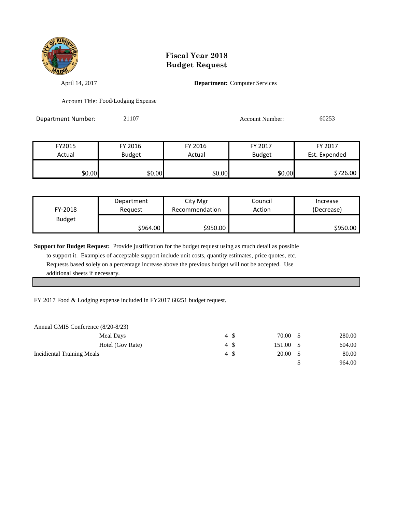

April 14, 2017 **Department:** Computer Services

Account Title: Food/Lodging Expense

Department Number: 21107 Account Number: 60253

| FY2015 | FY 2016       | FY 2016 | FY 2017       | FY 2017       |
|--------|---------------|---------|---------------|---------------|
| Actual | <b>Budget</b> | Actual  | <b>Budget</b> | Est. Expended |
| \$0.00 | \$0.00        | \$0.00  | \$0.00        | \$726.00      |

| FY-2018       | Department |          | Council | Increase   |
|---------------|------------|----------|---------|------------|
|               | Reauest    |          | Action  | (Decrease) |
| <b>Budget</b> | \$964.00   | \$950.00 |         | \$950.00   |

**Support for Budget Request:** Provide justification for the budget request using as much detail as possible

 to support it. Examples of acceptable support include unit costs, quantity estimates, price quotes, etc. Requests based solely on a percentage increase above the previous budget will not be accepted. Use additional sheets if necessary.

FY 2017 Food & Lodging expense included in FY2017 60251 budget request.

| Annual GMIS Conference (8/20-8/23) |      |        |        |
|------------------------------------|------|--------|--------|
| Meal Days                          | 4 S  | 70.00  | 280.00 |
| Hotel (Gov Rate)                   | 4 \$ | 151.00 | 604.00 |
| <b>Incidiental Training Meals</b>  | 4 \$ | 20.00  | 80.00  |
|                                    |      |        | 964.00 |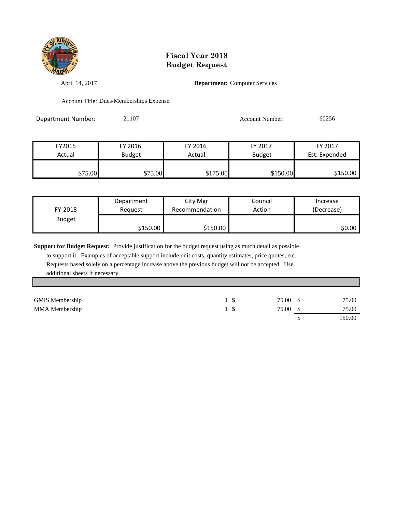

April 14, 2017 **Department:** Computer Services

Account Title: Dues/Memberships Expense

Department Number: 21107 Account Number: 60256

| FY2015  | FY 2016       | FY 2016  | FY 2017       | FY 2017       |
|---------|---------------|----------|---------------|---------------|
| Actual  | <b>Budget</b> | Actual   | <b>Budget</b> | Est. Expended |
|         |               |          |               |               |
| \$75.00 | \$75.00       | \$175.00 | \$150.00      | \$150.00      |

| FY-2018       | Department | City Mgr       | Council | Increase   |
|---------------|------------|----------------|---------|------------|
|               | Reauest    | Recommendation | Action  | (Decrease) |
| <b>Budget</b> | \$150.00   | \$150.00       |         | \$0.00     |

**Support for Budget Request:** Provide justification for the budget request using as much detail as possible

 to support it. Examples of acceptable support include unit costs, quantity estimates, price quotes, etc. Requests based solely on a percentage increase above the previous budget will not be accepted. Use additional sheets if necessary.

| <b>GMIS Membership</b> | 75.00 \$ | 75.00  |
|------------------------|----------|--------|
| MMA Membership         | 75.00 \$ | 75.00  |
|                        |          | 150.00 |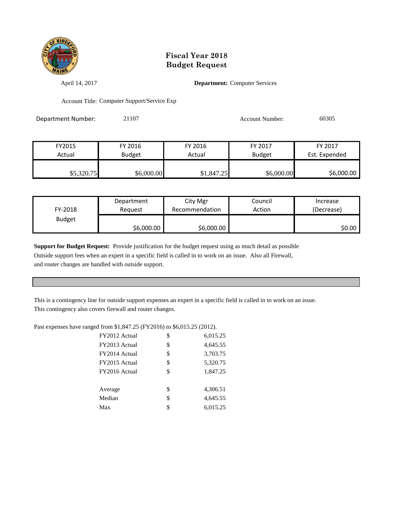

April 14, 2017 **Department:** Computer Services

Account Title: Computer Support/Service Exp

Department Number: 21107 2010 2010 2010 Account Number: 60305

| FY2015     | FY 2016       | FY 2016    | FY 2017       | FY 2017       |
|------------|---------------|------------|---------------|---------------|
| Actual     | <b>Budget</b> | Actual     | <b>Budget</b> | Est. Expended |
|            |               |            |               |               |
| \$5,320.75 | \$6,000.00    | \$1,847.25 | \$6,000.00    | \$6,000.00    |

| FY-2018       | Department | City Mgr       | Council | Increase   |
|---------------|------------|----------------|---------|------------|
|               | Reauest    | Recommendation | Action  | (Decrease) |
| <b>Budget</b> | \$6,000.00 | \$6,000.00     |         | \$0.00     |

**Support for Budget Request:** Provide justification for the budget request using as much detail as possible Outside support fees when an expert in a specific field is called in to work on an issue. Also all Firewall, and router changes are handled with outside support.

This is a contingency line for outside support expenses an expert in a specific field is called in to work on an issue. This contingency also covers firewall and router changes.

Past expenses have ranged from \$1,847.25 (FY2016) to \$6,015.25 (2012).

| FY2012 Actual | \$<br>6,015.25 |
|---------------|----------------|
| FY2013 Actual | \$<br>4,645.55 |
| FY2014 Actual | \$<br>3,703.75 |
| FY2015 Actual | \$<br>5,320.75 |
| FY2016 Actual | \$<br>1,847.25 |
|               |                |
| Average       | \$<br>4,306.51 |
| Median        | \$<br>4,645.55 |
| Max           | \$<br>6,015.25 |
|               |                |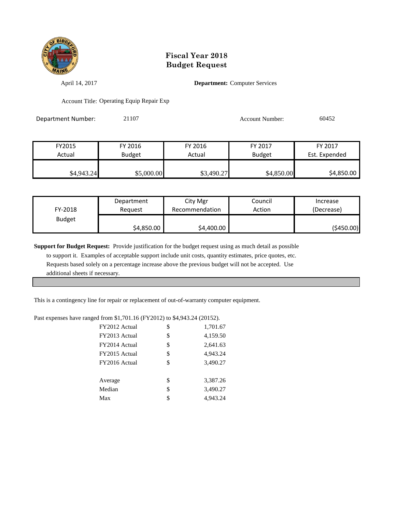

April 14, 2017 **Department:** Computer Services

Account Title: Operating Equip Repair Exp

Department Number: 21107 2010 2010 2010 Account Number: 60452

| FY2015     | FY 2016       | FY 2016    | FY 2017       | FY 2017       |
|------------|---------------|------------|---------------|---------------|
| Actual     | <b>Budget</b> | Actual     | <b>Budget</b> | Est. Expended |
|            |               |            |               |               |
| \$4,943.24 | \$5,000.00    | \$3,490.27 | \$4,850.00    | \$4,850.00    |

| FY-2018       | Department | City Mgr       | Council | Increase   |
|---------------|------------|----------------|---------|------------|
|               | Reauest    | Recommendation | Action  | (Decrease) |
| <b>Budget</b> | \$4,850.00 | \$4,400.00     |         | (\$450.00) |

**Support for Budget Request:** Provide justification for the budget request using as much detail as possible

 to support it. Examples of acceptable support include unit costs, quantity estimates, price quotes, etc. Requests based solely on a percentage increase above the previous budget will not be accepted. Use additional sheets if necessary.

This is a contingency line for repair or replacement of out-of-warranty computer equipment.

#### Past expenses have ranged from \$1,701.16 (FY2012) to \$4,943.24 (20152).

| FY2012 Actual | \$ | 1,701.67 |
|---------------|----|----------|
| FY2013 Actual | \$ | 4,159.50 |
| FY2014 Actual | \$ | 2,641.63 |
| FY2015 Actual | \$ | 4,943.24 |
| FY2016 Actual | \$ | 3,490.27 |
|               |    |          |
| Average       | \$ | 3,387.26 |
| Median        | \$ | 3,490.27 |
| Max           | S. | 4.943.24 |
|               |    |          |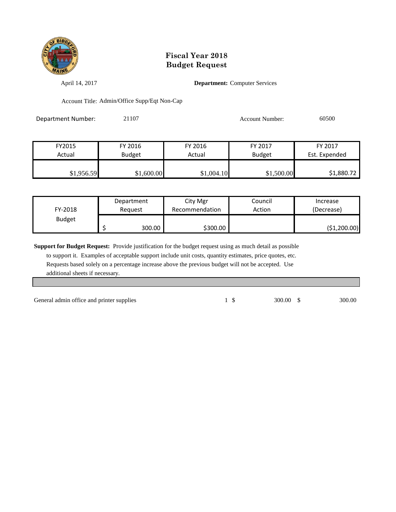

April 14, 2017 **Department:** Computer Services

Account Title: Admin/Office Supp/Eqt Non-Cap

| Department Number: | 21107 | <b>Account Number:</b> | 60500 |
|--------------------|-------|------------------------|-------|
|                    |       |                        |       |

| FY2015     | FY 2016       | FY 2016    | FY 2017       | FY 2017       |
|------------|---------------|------------|---------------|---------------|
| Actual     | <b>Budget</b> | Actual     | <b>Budget</b> | Est. Expended |
|            |               |            |               |               |
| \$1,956.59 | \$1,600.00    | \$1,004.10 | \$1,500.00    | \$1,880.72    |

| FY-2018<br><b>Budget</b> | Department<br>Reguest | City Mgr<br>Recommendation | Council<br>Action | Increase<br>(Decrease) |
|--------------------------|-----------------------|----------------------------|-------------------|------------------------|
|                          | 300.00                | \$300.00                   |                   | (\$1,200.00)           |

**Support for Budget Request:** Provide justification for the budget request using as much detail as possible

 to support it. Examples of acceptable support include unit costs, quantity estimates, price quotes, etc. Requests based solely on a percentage increase above the previous budget will not be accepted. Use additional sheets if necessary.

General admin office and printer supplies 1 \$ 300.00 \$ 300.00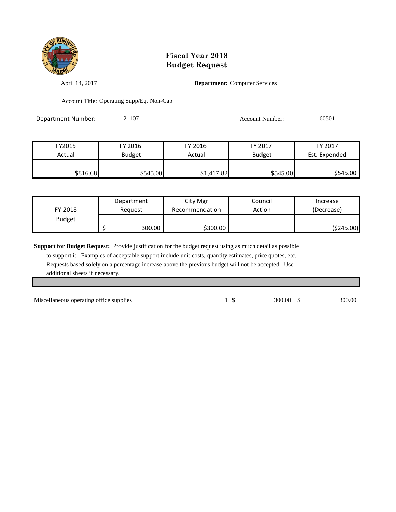

April 14, 2017 **Department:** Computer Services

Account Title: Operating Supp/Eqt Non-Cap

| Department Number: | 21107 | Account Number: | 60501 |
|--------------------|-------|-----------------|-------|
|                    |       |                 |       |

| FY2015   | FY 2016       | FY 2016    | FY 2017       | FY 2017       |
|----------|---------------|------------|---------------|---------------|
| Actual   | <b>Budget</b> | Actual     | <b>Budget</b> | Est. Expended |
|          |               |            |               |               |
| \$816.68 | \$545.00      | \$1,417.82 | \$545.00      | \$545.00      |

| FY-2018<br><b>Budget</b> | Department<br>Reauest |        | City Mgr<br>Recommendation | Council<br>Action | Increase<br>(Decrease) |
|--------------------------|-----------------------|--------|----------------------------|-------------------|------------------------|
|                          |                       | 300.00 | \$300.00                   |                   | ( \$245.00)            |

**Support for Budget Request:** Provide justification for the budget request using as much detail as possible

 to support it. Examples of acceptable support include unit costs, quantity estimates, price quotes, etc. Requests based solely on a percentage increase above the previous budget will not be accepted. Use additional sheets if necessary.

Miscellaneous operating office supplies 1 \$ 300.00 \$ 300.00